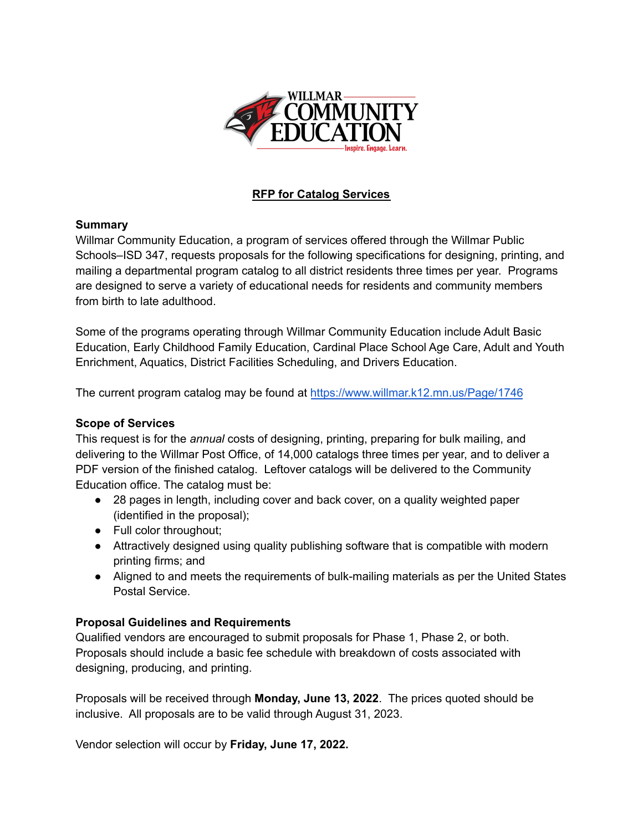

# **RFP for Catalog Services**

#### **Summary**

Willmar Community Education, a program of services offered through the Willmar Public Schools–ISD 347, requests proposals for the following specifications for designing, printing, and mailing a departmental program catalog to all district residents three times per year. Programs are designed to serve a variety of educational needs for residents and community members from birth to late adulthood.

Some of the programs operating through Willmar Community Education include Adult Basic Education, Early Childhood Family Education, Cardinal Place School Age Care, Adult and Youth Enrichment, Aquatics, District Facilities Scheduling, and Drivers Education.

The current program catalog may be found at <https://www.willmar.k12.mn.us/Page/1746>

#### **Scope of Services**

This request is for the *annual* costs of designing, printing, preparing for bulk mailing, and delivering to the Willmar Post Office, of 14,000 catalogs three times per year, and to deliver a PDF version of the finished catalog. Leftover catalogs will be delivered to the Community Education office. The catalog must be:

- 28 pages in length, including cover and back cover, on a quality weighted paper (identified in the proposal);
- Full color throughout;
- Attractively designed using quality publishing software that is compatible with modern printing firms; and
- Aligned to and meets the requirements of bulk-mailing materials as per the United States Postal Service.

#### **Proposal Guidelines and Requirements**

Qualified vendors are encouraged to submit proposals for Phase 1, Phase 2, or both. Proposals should include a basic fee schedule with breakdown of costs associated with designing, producing, and printing.

Proposals will be received through **Monday, June 13, 2022**. The prices quoted should be inclusive. All proposals are to be valid through August 31, 2023.

Vendor selection will occur by **Friday, June 17, 2022.**